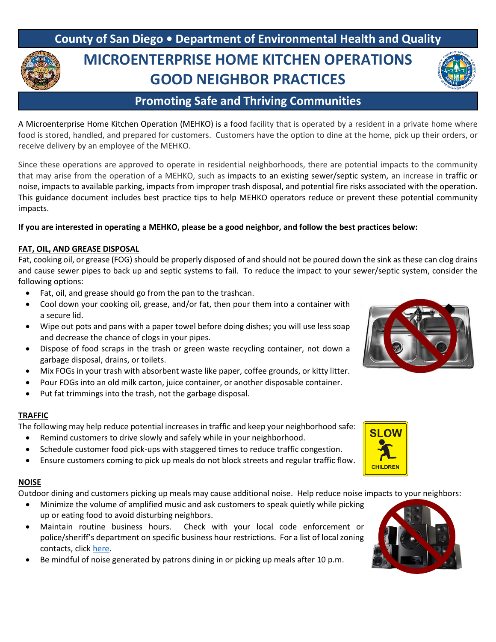# **County of San Diego • Department of Environmental Health and Quality MICROENTERPRISE HOME KITCHEN OPERATIONS GOOD NEIGHBOR PRACTICES**

# **Promoting Safe and Thriving Communities**

A Microenterprise Home Kitchen Operation (MEHKO) is a food facility that is operated by a resident in a private home where food is stored, handled, and prepared for customers. Customers have the option to dine at the home, pick up their orders, or receive delivery by an employee of the MEHKO.

Since these operations are approved to operate in residential neighborhoods, there are potential impacts to the community that may arise from the operation of a MEHKO, such as impacts to an existing sewer/septic system, an increase in traffic or noise, impacts to available parking, impacts from improper trash disposal, and potential fire risks associated with the operation. This guidance document includes best practice tips to help MEHKO operators reduce or prevent these potential community impacts.

## **If you are interested in operating a MEHKO, please be a good neighbor, and follow the best practices below:**

### **FAT, OIL, AND GREASE DISPOSAL**

Fat, cooking oil, or grease (FOG) should be properly disposed of and should not be poured down the sink as these can clog drains and cause sewer pipes to back up and septic systems to fail. To reduce the impact to your sewer/septic system, consider the following options:

- Fat, oil, and grease should go from the pan to the trashcan.
- Cool down your cooking oil, grease, and/or fat, then pour them into a container with a secure lid.
- Wipe out pots and pans with a paper towel before doing dishes; you will use less soap and decrease the chance of clogs in your pipes.
- Dispose of food scraps in the trash or green waste recycling container, not down a garbage disposal, drains, or toilets.
- Mix FOGs in your trash with absorbent waste like paper, coffee grounds, or kitty litter.
- Pour FOGs into an old milk carton, juice container, or another disposable container.
- Put fat trimmings into the trash, not the garbage disposal.

#### **TRAFFIC**

The following may help reduce potential increases in traffic and keep your neighborhood safe:

- Remind customers to drive slowly and safely while in your neighborhood.
- Schedule customer food pick-ups with staggered times to reduce traffic congestion.
- Ensure customers coming to pick up meals do not block streets and regular traffic flow.

#### **NOISE**

Outdoor dining and customers picking up meals may cause additional noise. Help reduce noise impacts to your neighbors:

- Minimize the volume of amplified music and ask customers to speak quietly while picking up or eating food to avoid disturbing neighbors.
- Maintain routine business hours. Check with your local code enforcement or police/sheriff's department on specific business hour restrictions. For a list of local zoning contacts, clic[k here.](https://www.sandiegocounty.gov/content/dam/sdc/deh/fhd/food/mehko/mehkozoning.pdf)
- Be mindful of noise generated by patrons dining in or picking up meals after 10 p.m.





**SLOW** 

**CHILDREN**